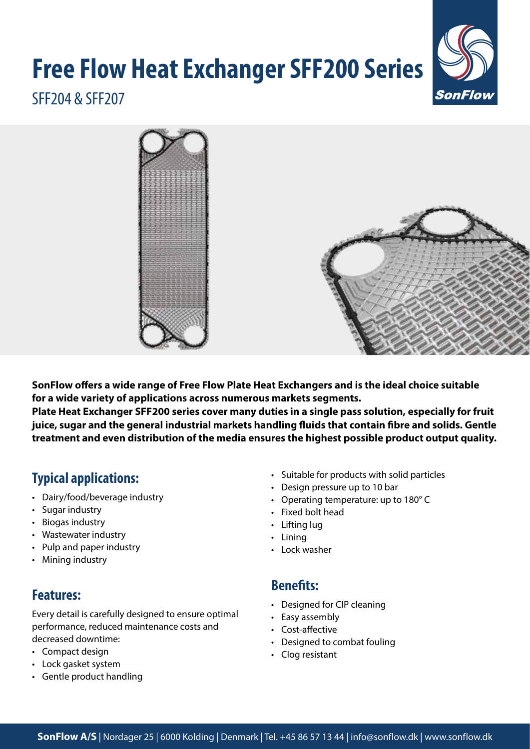# **Free Flow Heat Exchanger SFF200 Series**



# SFF204 & SFF207



**SonFlow offers a wide range of Free Flow Plate Heat Exchangers and is the ideal choice suitable for a wide variety of applications across numerous markets segments.** 

**Plate Heat Exchanger SFF200 series cover many duties in a single pass solution, especially for fruit juice, sugar and the general industrial markets handling fluids that contain fibre and solids. Gentle treatment and even distribution of the media ensures the highest possible product output quality.**

# **Typical applications:**

- Dairy/food/beverage industry
- Sugar industry
- Biogas industry
- Wastewater industry
- Pulp and paper industry
- Mining industry

# **Features:**

Every detail is carefully designed to ensure optimal performance, reduced maintenance costs and decreased downtime:

- Compact design
- Lock gasket system
- Gentle product handling
- Suitable for products with solid particles
- Design pressure up to 10 bar
- Operating temperature: up to 180° C
- Fixed bolt head
- Lifting lug
- Lining
- Lock washer

#### **Benefits:**

- Designed for CIP cleaning
- Easy assembly
- Cost-affective
- Designed to combat fouling
- Clog resistant